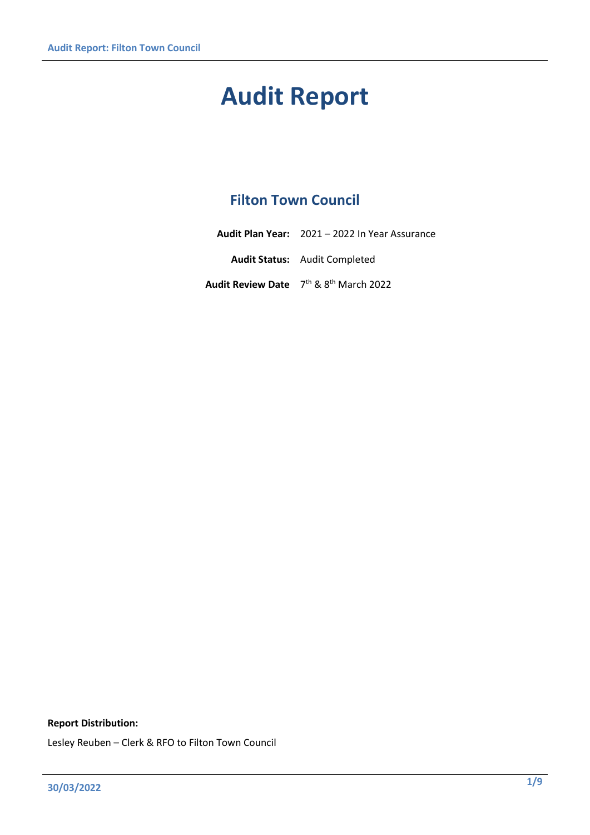# **Audit Report**

# **Filton Town Council**

| <b>Audit Plan Year:</b> 2021 – 2022 In Year Assurance          |
|----------------------------------------------------------------|
| <b>Audit Status:</b> Audit Completed                           |
| Audit Review Date 7 <sup>th</sup> & 8 <sup>th</sup> March 2022 |

#### **Report Distribution:**

Lesley Reuben – Clerk & RFO to Filton Town Council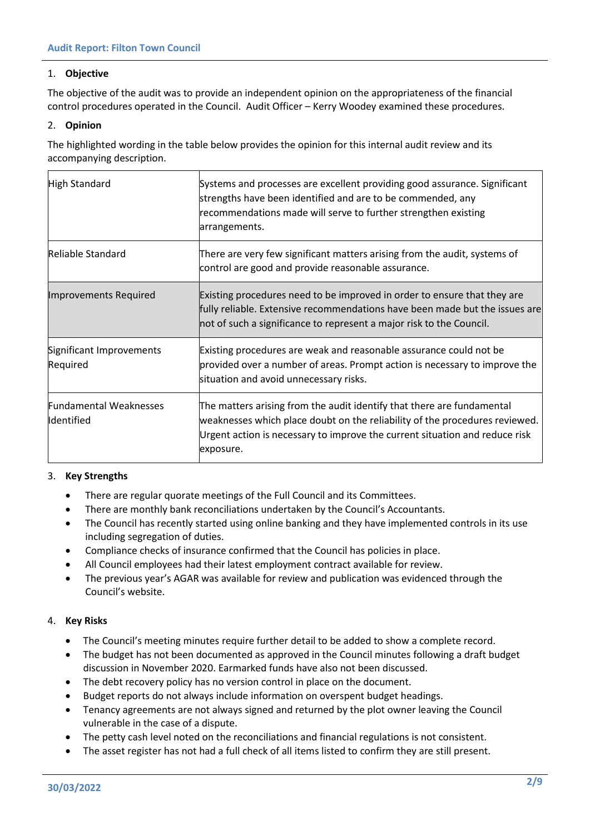#### 1. **Objective**

The objective of the audit was to provide an independent opinion on the appropriateness of the financial control procedures operated in the Council. Audit Officer – Kerry Woodey examined these procedures.

#### 2. **Opinion**

The highlighted wording in the table below provides the opinion for this internal audit review and its accompanying description.

| High Standard                               | Systems and processes are excellent providing good assurance. Significant<br>strengths have been identified and are to be commended, any<br>recommendations made will serve to further strengthen existing<br>arrangements.                       |
|---------------------------------------------|---------------------------------------------------------------------------------------------------------------------------------------------------------------------------------------------------------------------------------------------------|
| Reliable Standard                           | There are very few significant matters arising from the audit, systems of<br>control are good and provide reasonable assurance.                                                                                                                   |
| <b>Improvements Required</b>                | Existing procedures need to be improved in order to ensure that they are<br>fully reliable. Extensive recommendations have been made but the issues are<br>not of such a significance to represent a major risk to the Council.                   |
| Significant Improvements<br>Required        | Existing procedures are weak and reasonable assurance could not be<br>provided over a number of areas. Prompt action is necessary to improve the<br>situation and avoid unnecessary risks.                                                        |
| <b>Fundamental Weaknesses</b><br>Identified | The matters arising from the audit identify that there are fundamental<br>weaknesses which place doubt on the reliability of the procedures reviewed.<br>Urgent action is necessary to improve the current situation and reduce risk<br>exposure. |

#### 3. **Key Strengths**

- There are regular quorate meetings of the Full Council and its Committees.
- There are monthly bank reconciliations undertaken by the Council's Accountants.
- The Council has recently started using online banking and they have implemented controls in its use including segregation of duties.
- Compliance checks of insurance confirmed that the Council has policies in place.
- All Council employees had their latest employment contract available for review.
- The previous year's AGAR was available for review and publication was evidenced through the Council's website.

#### 4. **Key Risks**

- The Council's meeting minutes require further detail to be added to show a complete record.
- The budget has not been documented as approved in the Council minutes following a draft budget discussion in November 2020. Earmarked funds have also not been discussed.
- The debt recovery policy has no version control in place on the document.
- Budget reports do not always include information on overspent budget headings.
- Tenancy agreements are not always signed and returned by the plot owner leaving the Council vulnerable in the case of a dispute.
- The petty cash level noted on the reconciliations and financial regulations is not consistent.
- The asset register has not had a full check of all items listed to confirm they are still present.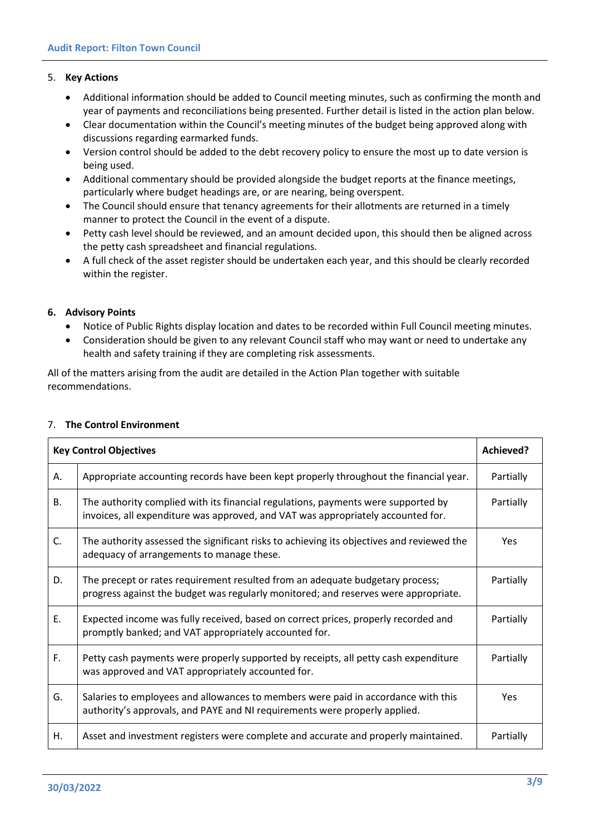#### 5. **Key Actions**

- Additional information should be added to Council meeting minutes, such as confirming the month and year of payments and reconciliations being presented. Further detail is listed in the action plan below.
- Clear documentation within the Council's meeting minutes of the budget being approved along with discussions regarding earmarked funds.
- Version control should be added to the debt recovery policy to ensure the most up to date version is being used.
- Additional commentary should be provided alongside the budget reports at the finance meetings, particularly where budget headings are, or are nearing, being overspent.
- The Council should ensure that tenancy agreements for their allotments are returned in a timely manner to protect the Council in the event of a dispute.
- Petty cash level should be reviewed, and an amount decided upon, this should then be aligned across the petty cash spreadsheet and financial regulations.
- A full check of the asset register should be undertaken each year, and this should be clearly recorded within the register.

#### **6. Advisory Points**

- Notice of Public Rights display location and dates to be recorded within Full Council meeting minutes.
- Consideration should be given to any relevant Council staff who may want or need to undertake any health and safety training if they are completing risk assessments.

All of the matters arising from the audit are detailed in the Action Plan together with suitable recommendations.

| <b>Key Control Objectives</b> |                                                                                                                                                                       |            |
|-------------------------------|-----------------------------------------------------------------------------------------------------------------------------------------------------------------------|------------|
| А.                            | Appropriate accounting records have been kept properly throughout the financial year.                                                                                 | Partially  |
| <b>B.</b>                     | The authority complied with its financial regulations, payments were supported by<br>invoices, all expenditure was approved, and VAT was appropriately accounted for. | Partially  |
| C.                            | The authority assessed the significant risks to achieving its objectives and reviewed the<br>adequacy of arrangements to manage these.                                | <b>Yes</b> |
| D.                            | The precept or rates requirement resulted from an adequate budgetary process;<br>progress against the budget was regularly monitored; and reserves were appropriate.  | Partially  |
| E.                            | Expected income was fully received, based on correct prices, properly recorded and<br>promptly banked; and VAT appropriately accounted for.                           | Partially  |
| F.                            | Petty cash payments were properly supported by receipts, all petty cash expenditure<br>was approved and VAT appropriately accounted for.                              | Partially  |
| G.                            | Salaries to employees and allowances to members were paid in accordance with this<br>authority's approvals, and PAYE and NI requirements were properly applied.       | <b>Yes</b> |
| Η.                            | Asset and investment registers were complete and accurate and properly maintained.                                                                                    | Partially  |

#### 7. **The Control Environment**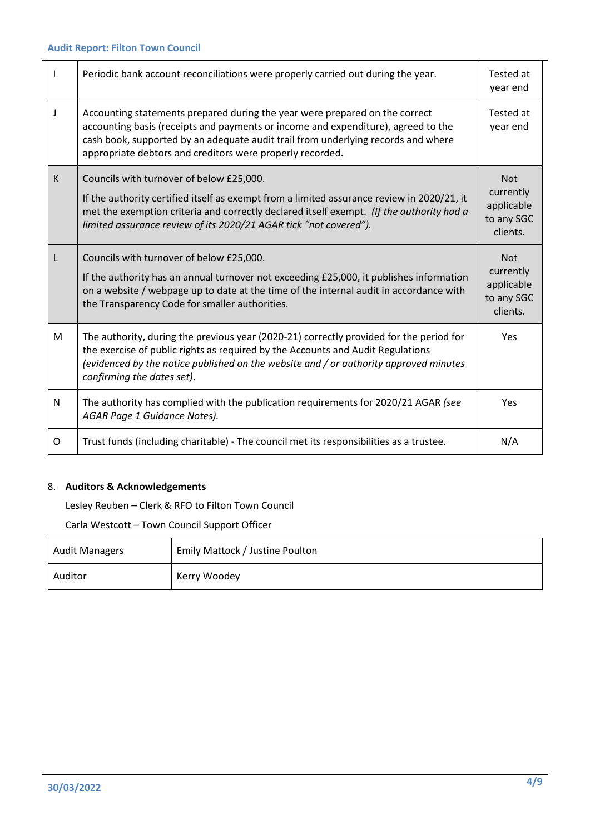|   | Periodic bank account reconciliations were properly carried out during the year.                                                                                                                                                                                                                                   | Tested at<br>year end                |
|---|--------------------------------------------------------------------------------------------------------------------------------------------------------------------------------------------------------------------------------------------------------------------------------------------------------------------|--------------------------------------|
| J | Accounting statements prepared during the year were prepared on the correct<br>accounting basis (receipts and payments or income and expenditure), agreed to the<br>cash book, supported by an adequate audit trail from underlying records and where<br>appropriate debtors and creditors were properly recorded. | Tested at<br>year end                |
| K | Councils with turnover of below £25,000.                                                                                                                                                                                                                                                                           | <b>Not</b><br>currently              |
|   | If the authority certified itself as exempt from a limited assurance review in 2020/21, it<br>met the exemption criteria and correctly declared itself exempt. (If the authority had a<br>limited assurance review of its 2020/21 AGAR tick "not covered").                                                        | applicable<br>to any SGC<br>clients. |
|   | Councils with turnover of below £25,000.                                                                                                                                                                                                                                                                           | <b>Not</b><br>currently              |
|   | If the authority has an annual turnover not exceeding £25,000, it publishes information<br>on a website / webpage up to date at the time of the internal audit in accordance with<br>the Transparency Code for smaller authorities.                                                                                | applicable<br>to any SGC<br>clients. |
| M | The authority, during the previous year (2020-21) correctly provided for the period for<br>the exercise of public rights as required by the Accounts and Audit Regulations<br>(evidenced by the notice published on the website and / or authority approved minutes<br>confirming the dates set).                  | <b>Yes</b>                           |
| N | The authority has complied with the publication requirements for 2020/21 AGAR (see<br>AGAR Page 1 Guidance Notes).                                                                                                                                                                                                 | <b>Yes</b>                           |
| 0 | Trust funds (including charitable) - The council met its responsibilities as a trustee.                                                                                                                                                                                                                            | N/A                                  |

# 8. **Auditors & Acknowledgements**

Lesley Reuben – Clerk & RFO to Filton Town Council

Carla Westcott – Town Council Support Officer

| <b>Audit Managers</b> | Emily Mattock / Justine Poulton |
|-----------------------|---------------------------------|
| Auditor               | Kerry Woodey                    |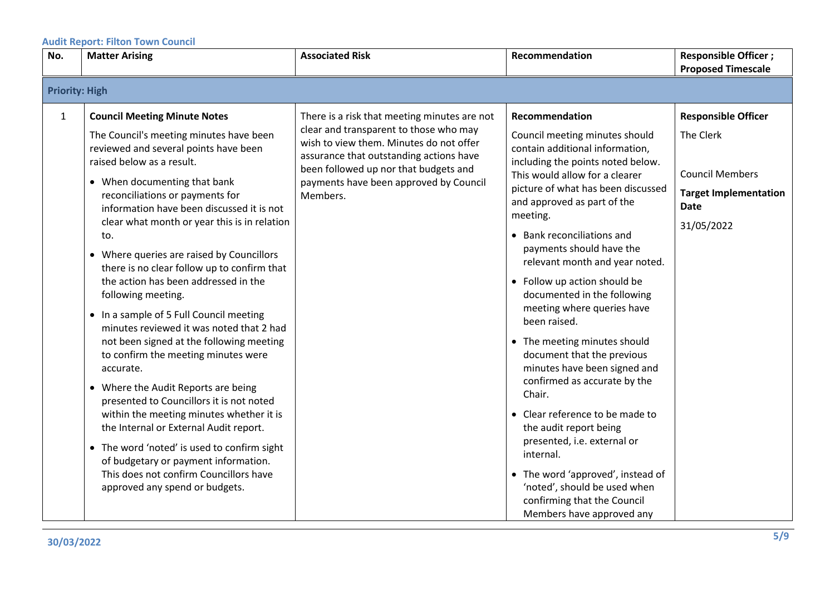|              |                                                                                                                                                                                                                                                                                                                                                                                                                                                                                                                                                                                                                                                                                                                                                                                                                                                       |                                                                                                                                                                                                                                                                             |                                                                                                                                                                                                                                                                                                                                                                                                                                                                                                                                                                                                                                                                                          | <b>Proposed Timescale</b>                                                                                                      |
|--------------|-------------------------------------------------------------------------------------------------------------------------------------------------------------------------------------------------------------------------------------------------------------------------------------------------------------------------------------------------------------------------------------------------------------------------------------------------------------------------------------------------------------------------------------------------------------------------------------------------------------------------------------------------------------------------------------------------------------------------------------------------------------------------------------------------------------------------------------------------------|-----------------------------------------------------------------------------------------------------------------------------------------------------------------------------------------------------------------------------------------------------------------------------|------------------------------------------------------------------------------------------------------------------------------------------------------------------------------------------------------------------------------------------------------------------------------------------------------------------------------------------------------------------------------------------------------------------------------------------------------------------------------------------------------------------------------------------------------------------------------------------------------------------------------------------------------------------------------------------|--------------------------------------------------------------------------------------------------------------------------------|
|              | <b>Priority: High</b>                                                                                                                                                                                                                                                                                                                                                                                                                                                                                                                                                                                                                                                                                                                                                                                                                                 |                                                                                                                                                                                                                                                                             |                                                                                                                                                                                                                                                                                                                                                                                                                                                                                                                                                                                                                                                                                          |                                                                                                                                |
| $\mathbf{1}$ | <b>Council Meeting Minute Notes</b><br>The Council's meeting minutes have been<br>reviewed and several points have been<br>raised below as a result.<br>• When documenting that bank<br>reconciliations or payments for<br>information have been discussed it is not<br>clear what month or year this is in relation<br>to.<br>• Where queries are raised by Councillors<br>there is no clear follow up to confirm that<br>the action has been addressed in the<br>following meeting.<br>• In a sample of 5 Full Council meeting<br>minutes reviewed it was noted that 2 had<br>not been signed at the following meeting<br>to confirm the meeting minutes were<br>accurate.<br>• Where the Audit Reports are being<br>presented to Councillors it is not noted<br>within the meeting minutes whether it is<br>the Internal or External Audit report. | There is a risk that meeting minutes are not<br>clear and transparent to those who may<br>wish to view them. Minutes do not offer<br>assurance that outstanding actions have<br>been followed up nor that budgets and<br>payments have been approved by Council<br>Members. | Recommendation<br>Council meeting minutes should<br>contain additional information,<br>including the points noted below.<br>This would allow for a clearer<br>picture of what has been discussed<br>and approved as part of the<br>meeting.<br>• Bank reconciliations and<br>payments should have the<br>relevant month and year noted.<br>• Follow up action should be<br>documented in the following<br>meeting where queries have<br>been raised.<br>• The meeting minutes should<br>document that the previous<br>minutes have been signed and<br>confirmed as accurate by the<br>Chair.<br>• Clear reference to be made to<br>the audit report being<br>presented, i.e. external or | <b>Responsible Officer</b><br>The Clerk<br><b>Council Members</b><br><b>Target Implementation</b><br><b>Date</b><br>31/05/2022 |
|              | • The word 'noted' is used to confirm sight<br>of budgetary or payment information.<br>This does not confirm Councillors have<br>approved any spend or budgets.                                                                                                                                                                                                                                                                                                                                                                                                                                                                                                                                                                                                                                                                                       |                                                                                                                                                                                                                                                                             | internal.<br>• The word 'approved', instead of<br>'noted', should be used when<br>confirming that the Council<br>Members have approved any                                                                                                                                                                                                                                                                                                                                                                                                                                                                                                                                               |                                                                                                                                |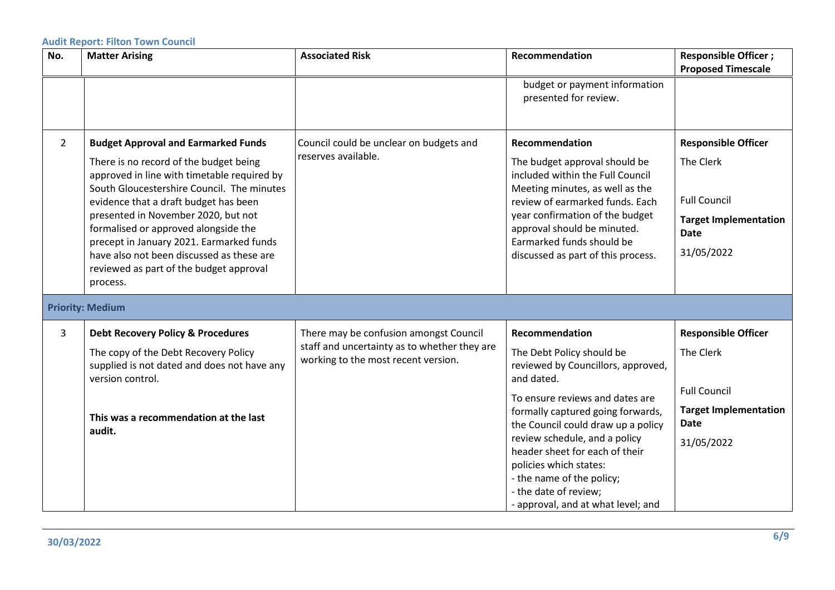| No.            | <b>Matter Arising</b>                                                                                                                                                                                                                                                                                                                                                                                                                                     | <b>Associated Risk</b>                                                              | Recommendation                                                                                                                                                                                                                                                                                                                                                                       | <b>Responsible Officer;</b>                                                                                                 |
|----------------|-----------------------------------------------------------------------------------------------------------------------------------------------------------------------------------------------------------------------------------------------------------------------------------------------------------------------------------------------------------------------------------------------------------------------------------------------------------|-------------------------------------------------------------------------------------|--------------------------------------------------------------------------------------------------------------------------------------------------------------------------------------------------------------------------------------------------------------------------------------------------------------------------------------------------------------------------------------|-----------------------------------------------------------------------------------------------------------------------------|
|                |                                                                                                                                                                                                                                                                                                                                                                                                                                                           |                                                                                     |                                                                                                                                                                                                                                                                                                                                                                                      | <b>Proposed Timescale</b>                                                                                                   |
|                |                                                                                                                                                                                                                                                                                                                                                                                                                                                           |                                                                                     | budget or payment information<br>presented for review.                                                                                                                                                                                                                                                                                                                               |                                                                                                                             |
| $\overline{2}$ | <b>Budget Approval and Earmarked Funds</b><br>There is no record of the budget being<br>approved in line with timetable required by<br>South Gloucestershire Council. The minutes<br>evidence that a draft budget has been<br>presented in November 2020, but not<br>formalised or approved alongside the<br>precept in January 2021. Earmarked funds<br>have also not been discussed as these are<br>reviewed as part of the budget approval<br>process. | Council could be unclear on budgets and<br>reserves available.                      | Recommendation<br>The budget approval should be<br>included within the Full Council<br>Meeting minutes, as well as the<br>review of earmarked funds. Each<br>year confirmation of the budget<br>approval should be minuted.<br>Earmarked funds should be<br>discussed as part of this process.                                                                                       | <b>Responsible Officer</b><br>The Clerk<br><b>Full Council</b><br><b>Target Implementation</b><br><b>Date</b><br>31/05/2022 |
|                | <b>Priority: Medium</b>                                                                                                                                                                                                                                                                                                                                                                                                                                   |                                                                                     |                                                                                                                                                                                                                                                                                                                                                                                      |                                                                                                                             |
| 3              | <b>Debt Recovery Policy &amp; Procedures</b>                                                                                                                                                                                                                                                                                                                                                                                                              | There may be confusion amongst Council                                              | Recommendation                                                                                                                                                                                                                                                                                                                                                                       | <b>Responsible Officer</b>                                                                                                  |
|                | The copy of the Debt Recovery Policy<br>supplied is not dated and does not have any<br>version control.<br>This was a recommendation at the last<br>audit.                                                                                                                                                                                                                                                                                                | staff and uncertainty as to whether they are<br>working to the most recent version. | The Debt Policy should be<br>reviewed by Councillors, approved,<br>and dated.<br>To ensure reviews and dates are<br>formally captured going forwards,<br>the Council could draw up a policy<br>review schedule, and a policy<br>header sheet for each of their<br>policies which states:<br>- the name of the policy;<br>- the date of review;<br>- approval, and at what level; and | The Clerk<br><b>Full Council</b><br><b>Target Implementation</b><br><b>Date</b><br>31/05/2022                               |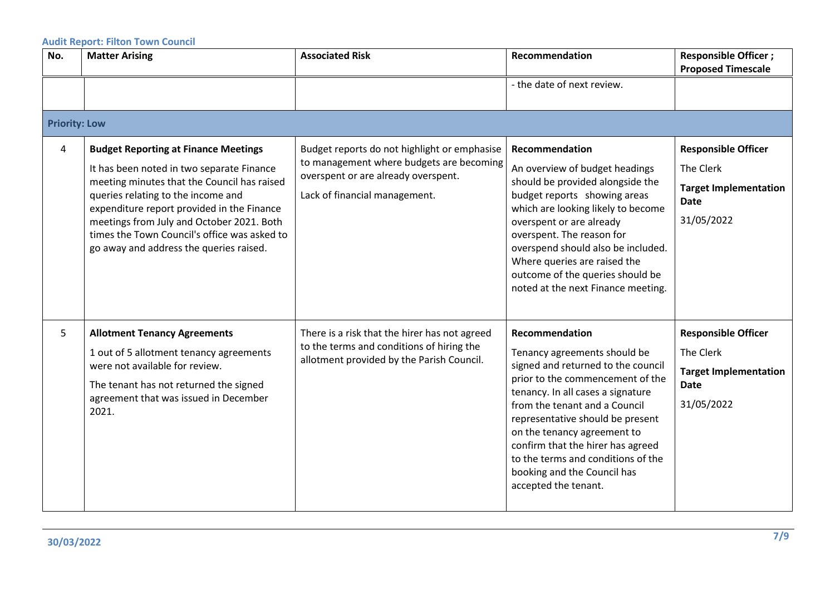| No.                  | <b>Matter Arising</b>                                                                                                                                                                                                                                                                                                                                               | <b>Associated Risk</b>                                                                                                                                           | Recommendation                                                                                                                                                                                                                                                                                                                                                                                      | <b>Responsible Officer;</b><br><b>Proposed Timescale</b>                                             |
|----------------------|---------------------------------------------------------------------------------------------------------------------------------------------------------------------------------------------------------------------------------------------------------------------------------------------------------------------------------------------------------------------|------------------------------------------------------------------------------------------------------------------------------------------------------------------|-----------------------------------------------------------------------------------------------------------------------------------------------------------------------------------------------------------------------------------------------------------------------------------------------------------------------------------------------------------------------------------------------------|------------------------------------------------------------------------------------------------------|
|                      |                                                                                                                                                                                                                                                                                                                                                                     |                                                                                                                                                                  | - the date of next review.                                                                                                                                                                                                                                                                                                                                                                          |                                                                                                      |
| <b>Priority: Low</b> |                                                                                                                                                                                                                                                                                                                                                                     |                                                                                                                                                                  |                                                                                                                                                                                                                                                                                                                                                                                                     |                                                                                                      |
| 4                    | <b>Budget Reporting at Finance Meetings</b><br>It has been noted in two separate Finance<br>meeting minutes that the Council has raised<br>queries relating to the income and<br>expenditure report provided in the Finance<br>meetings from July and October 2021. Both<br>times the Town Council's office was asked to<br>go away and address the queries raised. | Budget reports do not highlight or emphasise<br>to management where budgets are becoming<br>overspent or are already overspent.<br>Lack of financial management. | Recommendation<br>An overview of budget headings<br>should be provided alongside the<br>budget reports showing areas<br>which are looking likely to become<br>overspent or are already<br>overspent. The reason for<br>overspend should also be included.<br>Where queries are raised the<br>outcome of the queries should be<br>noted at the next Finance meeting.                                 | <b>Responsible Officer</b><br>The Clerk<br><b>Target Implementation</b><br><b>Date</b><br>31/05/2022 |
| 5                    | <b>Allotment Tenancy Agreements</b><br>1 out of 5 allotment tenancy agreements<br>were not available for review.<br>The tenant has not returned the signed<br>agreement that was issued in December<br>2021.                                                                                                                                                        | There is a risk that the hirer has not agreed<br>to the terms and conditions of hiring the<br>allotment provided by the Parish Council.                          | Recommendation<br>Tenancy agreements should be<br>signed and returned to the council<br>prior to the commencement of the<br>tenancy. In all cases a signature<br>from the tenant and a Council<br>representative should be present<br>on the tenancy agreement to<br>confirm that the hirer has agreed<br>to the terms and conditions of the<br>booking and the Council has<br>accepted the tenant. | <b>Responsible Officer</b><br>The Clerk<br><b>Target Implementation</b><br><b>Date</b><br>31/05/2022 |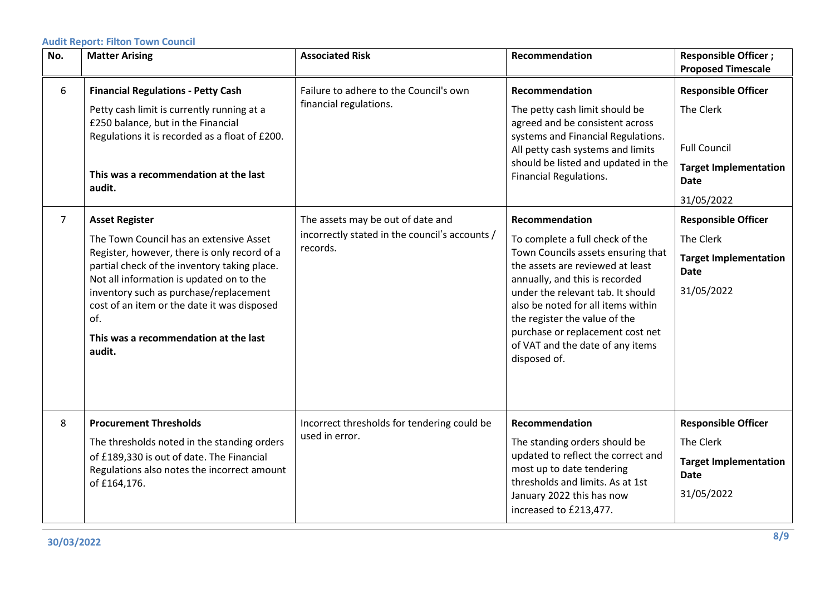| No.            | <b>Matter Arising</b>                                                                                                                                                                                                                                                                                                                                           | <b>Associated Risk</b>                                                                          | Recommendation                                                                                                                                                                                                                                                                                                                                                    | <b>Responsible Officer;</b><br><b>Proposed Timescale</b>                                                                    |
|----------------|-----------------------------------------------------------------------------------------------------------------------------------------------------------------------------------------------------------------------------------------------------------------------------------------------------------------------------------------------------------------|-------------------------------------------------------------------------------------------------|-------------------------------------------------------------------------------------------------------------------------------------------------------------------------------------------------------------------------------------------------------------------------------------------------------------------------------------------------------------------|-----------------------------------------------------------------------------------------------------------------------------|
| 6              | <b>Financial Regulations - Petty Cash</b><br>Petty cash limit is currently running at a<br>£250 balance, but in the Financial<br>Regulations it is recorded as a float of £200.<br>This was a recommendation at the last<br>audit.                                                                                                                              | Failure to adhere to the Council's own<br>financial regulations.                                | Recommendation<br>The petty cash limit should be<br>agreed and be consistent across<br>systems and Financial Regulations.<br>All petty cash systems and limits<br>should be listed and updated in the<br>Financial Regulations.                                                                                                                                   | <b>Responsible Officer</b><br>The Clerk<br><b>Full Council</b><br><b>Target Implementation</b><br><b>Date</b><br>31/05/2022 |
| $\overline{7}$ | <b>Asset Register</b><br>The Town Council has an extensive Asset<br>Register, however, there is only record of a<br>partial check of the inventory taking place.<br>Not all information is updated on to the<br>inventory such as purchase/replacement<br>cost of an item or the date it was disposed<br>of.<br>This was a recommendation at the last<br>audit. | The assets may be out of date and<br>incorrectly stated in the council's accounts /<br>records. | Recommendation<br>To complete a full check of the<br>Town Councils assets ensuring that<br>the assets are reviewed at least<br>annually, and this is recorded<br>under the relevant tab. It should<br>also be noted for all items within<br>the register the value of the<br>purchase or replacement cost net<br>of VAT and the date of any items<br>disposed of. | <b>Responsible Officer</b><br>The Clerk<br><b>Target Implementation</b><br><b>Date</b><br>31/05/2022                        |
| 8              | <b>Procurement Thresholds</b><br>The thresholds noted in the standing orders<br>of £189,330 is out of date. The Financial<br>Regulations also notes the incorrect amount<br>of £164,176.                                                                                                                                                                        | Incorrect thresholds for tendering could be<br>used in error.                                   | Recommendation<br>The standing orders should be<br>updated to reflect the correct and<br>most up to date tendering<br>thresholds and limits. As at 1st<br>January 2022 this has now<br>increased to £213,477.                                                                                                                                                     | <b>Responsible Officer</b><br>The Clerk<br><b>Target Implementation</b><br><b>Date</b><br>31/05/2022                        |